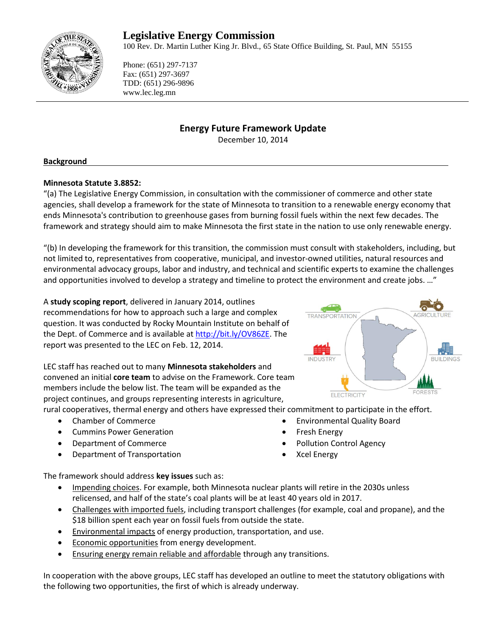# **Legislative Energy Commission**

100 Rev. Dr. Martin Luther King Jr. Blvd., 65 State Office Building, St. Paul, MN 55155



Phone: (651) 297-7137 Fax: (651) 297-3697 TDD: (651) 296-9896 www.lec.leg.mn

# **Energy Future Framework Update**

December 10, 2014

### **Background**

### **Minnesota Statute 3.8852:**

"(a) The Legislative Energy Commission, in consultation with the commissioner of commerce and other state agencies, shall develop a framework for the state of Minnesota to transition to a renewable energy economy that ends Minnesota's contribution to greenhouse gases from burning fossil fuels within the next few decades. The framework and strategy should aim to make Minnesota the first state in the nation to use only renewable energy.

"(b) In developing the framework for this transition, the commission must consult with stakeholders, including, but not limited to, representatives from cooperative, municipal, and investor-owned utilities, natural resources and environmental advocacy groups, labor and industry, and technical and scientific experts to examine the challenges and opportunities involved to develop a strategy and timeline to protect the environment and create jobs. …"

A **study scoping report**, delivered in January 2014, outlines recommendations for how to approach such a large and complex question. It was conducted by Rocky Mountain Institute on behalf of the Dept. of Commerce and is available at [http://bit.ly/OV86ZE.](http://bit.ly/OV86ZE) The report was presented to the LEC on Feb. 12, 2014.

LEC staff has reached out to many **Minnesota stakeholders** and convened an initial **core team** to advise on the Framework. Core team members include the below list. The team will be expanded as the project continues, and groups representing interests in agriculture,

rural cooperatives, thermal energy and others have expressed their commitment to participate in the effort.

- Chamber of Commerce
- Cummins Power Generation
- Department of Commerce
- Department of Transportation
- Environmental Quality Board Fresh Energy
- Pollution Control Agency
- Xcel Energy

The framework should address **key issues** such as:

- Impending choices. For example, both Minnesota nuclear plants will retire in the 2030s unless relicensed, and half of the state's coal plants will be at least 40 years old in 2017.
- Challenges with imported fuels, including transport challenges (for example, coal and propane), and the \$18 billion spent each year on fossil fuels from outside the state.
- Environmental impacts of energy production, transportation, and use.
- **Economic opportunities from energy development.**
- **Ensuring energy remain reliable and affordable through any transitions.**

In cooperation with the above groups, LEC staff has developed an outline to meet the statutory obligations with the following two opportunities, the first of which is already underway.

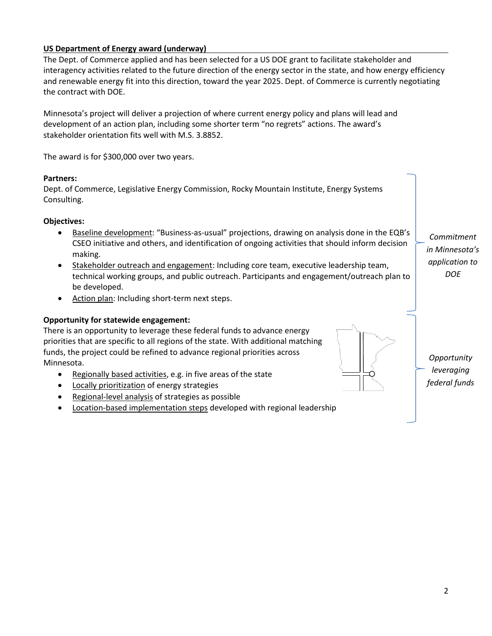# **US Department of Energy award (underway)**

The Dept. of Commerce applied and has been selected for a US DOE grant to facilitate stakeholder and interagency activities related to the future direction of the energy sector in the state, and how energy efficiency and renewable energy fit into this direction, toward the year 2025. Dept. of Commerce is currently negotiating the contract with DOE.

Minnesota's project will deliver a projection of where current energy policy and plans will lead and development of an action plan, including some shorter term "no regrets" actions. The award's stakeholder orientation fits well with M.S. 3.8852.

The award is for \$300,000 over two years.

### **Partners:**

Dept. of Commerce, Legislative Energy Commission, Rocky Mountain Institute, Energy Systems Consulting.

## **Objectives:**

- Baseline development: "Business-as-usual" projections, drawing on analysis done in the EQB's CSEO initiative and others, and identification of ongoing activities that should inform decision making.
- Stakeholder outreach and engagement: Including core team, executive leadership team, technical working groups, and public outreach. Participants and engagement/outreach plan to be developed.
- Action plan: Including short-term next steps.

## **Opportunity for statewide engagement:**

There is an opportunity to leverage these federal funds to advance energy priorities that are specific to all regions of the state. With additional matching funds, the project could be refined to advance regional priorities across Minnesota.

- Regionally based activities, e.g. in five areas of the state
- Locally prioritization of energy strategies
- Regional-level analysis of strategies as possible
- Location-based implementation steps developed with regional leadership

*Commitment in Minnesota's application to DOE*



*Opportunity leveraging federal funds*